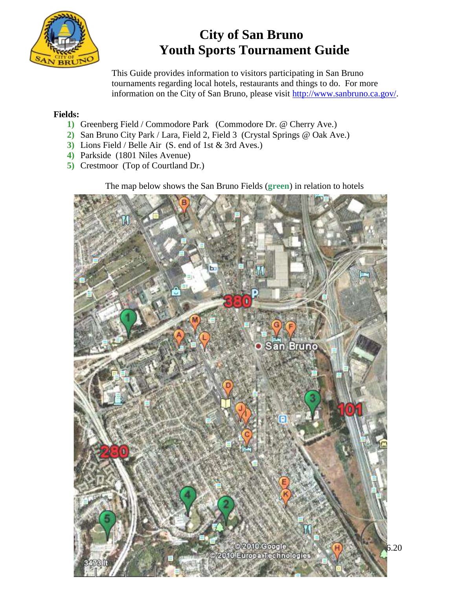

# **City of San Bruno Youth Sports Tournament Guide**

 This Guide provides information to visitors participating in San Bruno tournaments regarding local hotels, restaurants and things to do. For more information on the City of San Bruno, please visit [http://www.sanbruno.ca.gov/.](http://www.sanbruno.ca.gov/)

### **Fields:**

- **1)** Greenberg Field / Commodore Park (Commodore Dr. @ Cherry Ave.)
- **2)** San Bruno City Park / Lara, Field 2, Field 3 (Crystal Springs @ Oak Ave.)
- **3)** Lions Field / Belle Air (S. end of 1st & 3rd Aves.)
- **4)** Parkside (1801 Niles Avenue)
- **5)** Crestmoor (Top of Courtland Dr.)

The map below shows the San Bruno Fields (**green**) in relation to hotels

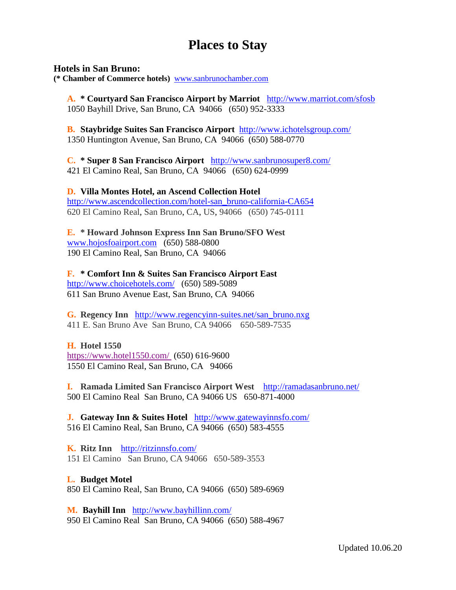# **Places to Stay**

#### **Hotels in San Bruno:**

**(\* Chamber of Commerce hotels)** [www.sanbrunochamber.com](http://www.sanbrunochamber.com/)

**A. \* Courtyard San Francisco Airport by Marriot** <http://www.marriot.com/sfosb> 1050 Bayhill Drive, San Bruno, CA 94066 (650) 952-3333

**B. Staybridge Suites San Francisco Airport** <http://www.ichotelsgroup.com/> 1350 Huntington Avenue, San Bruno, CA 94066 (650) 588-0770

**C. \* Super 8 San Francisco Airport** <http://www.sanbrunosuper8.com/> 421 El Camino Real, San Bruno, CA 94066 (650) 624-0999

**D. Villa Montes Hotel, an Ascend Collection Hotel**  [http://www.ascendcollection.com/hotel-san\\_bruno-california-CA654](http://www.ascendcollection.com/hotel-san_bruno-california-CA654) 620 El Camino Real, San Bruno, CA, US, 94066 (650) 745-0111

**E. \* Howard Johnson Express Inn San Bruno/SFO West** [www.hojosfoairport.com](http://www.hojosfoairport.com/) (650) 588-0800 190 El Camino Real, San Bruno, CA 94066

**F. \* Comfort Inn & Suites San Francisco Airport East** <http://www.choicehotels.com/>(650) 589-5089 611 San Bruno Avenue East, San Bruno, CA 94066

**G. Regency Inn** [http://www.regencyinn-suites.net/san\\_bruno.nxg](http://www.regencyinn-suites.net/san_bruno.nxg) 411 E. San Bruno Ave San Bruno, CA 94066 650-589-7535

#### **H. Hotel 1550**

<https://www.hotel1550.com/> (650) 616-9600 1550 El Camino Real, San Bruno, CA 94066

**I. Ramada Limited San Francisco Airport West** <http://ramadasanbruno.net/> 500 El Camino Real San Bruno, CA 94066 US 650-871-4000

**J. Gateway Inn & Suites Hotel** <http://www.gatewayinnsfo.com/> 516 El Camino Real, San Bruno, CA 94066 (650) 583-4555

**K. Ritz Inn** <http://ritzinnsfo.com/> 151 El Camino San Bruno, CA 94066 650-589-3553

#### **L. Budget Motel**

850 El Camino Real, San Bruno, CA 94066 (650) 589-6969

**M. Bayhill Inn** <http://www.bayhillinn.com/> 950 El Camino Real San Bruno, CA 94066 (650) 588-4967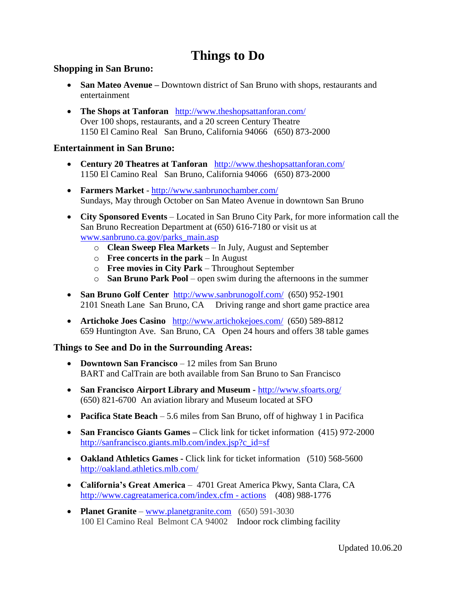# **Things to Do**

### **Shopping in San Bruno:**

- **San Mateo Avenue** Downtown district of San Bruno with shops, restaurants and entertainment
- **The Shops at Tanforan** <http://www.theshopsattanforan.com/> Over 100 shops, restaurants, and a 20 screen Century Theatre 1150 El Camino Real San Bruno, California 94066 (650) 873-2000

### **Entertainment in San Bruno:**

- **Century 20 Theatres at Tanforan** <http://www.theshopsattanforan.com/> 1150 El Camino Real San Bruno, California 94066 (650) 873-2000
- **Farmers Market**  <http://www.sanbrunochamber.com/> Sundays, May through October on San Mateo Avenue in downtown San Bruno
- **City Sponsored Events** Located in San Bruno City Park, for more information call the San Bruno Recreation Department at (650) 616-7180 or visit us at [www.sanbruno.ca.gov/parks\\_main.asp](http://www.sanbruno.ca.gov/parks_main.asp)
	- o **Clean Sweep Flea Markets** In July, August and September
	- o **Free concerts in the park** In August
	- o **Free movies in City Park** Throughout September
	- o **San Bruno Park Pool** open swim during the afternoons in the summer
- San Bruno Golf Center <http://www.sanbrunogolf.com/>(650) 952-1901 2101 Sneath Lane San Bruno, CA Driving range and short game practice area
- **Artichoke Joes Casino** <http://www.artichokejoes.com/> (650) 589-8812 659 Huntington Ave. San Bruno, CA Open 24 hours and offers 38 table games

### **Things to See and Do in the Surrounding Areas:**

- **Downtown San Francisco** 12 miles from San Bruno BART and CalTrain are both available from San Bruno to San Francisco
- **San Francisco Airport Library and Museum -** <http://www.sfoarts.org/> (650) 821-6700 An aviation library and Museum located at SFO
- **Pacifica State Beach** 5.6 miles from San Bruno, off of highway 1 in Pacifica
- **San Francisco Giants Games –** Click link for ticket information (415) 972-2000 [http://sanfrancisco.giants.mlb.com/index.jsp?c\\_id=sf](http://sanfrancisco.giants.mlb.com/index.jsp?c_id=sf)
- **Oakland Athletics Games -** Click link for ticket information (510) 568-5600 <http://oakland.athletics.mlb.com/>
- **California's Great America** 4701 Great America Pkwy, Santa Clara, CA [http://www.cagreatamerica.com/index.cfm -](http://www.cagreatamerica.com/index.cfm#actions) actions (408) 988-1776
- **Planet Granite** [www.planetgranite.com](http://www.planetgranite.com/) (650) 591-3030 100 El Camino Real Belmont CA 94002 Indoor rock climbing facility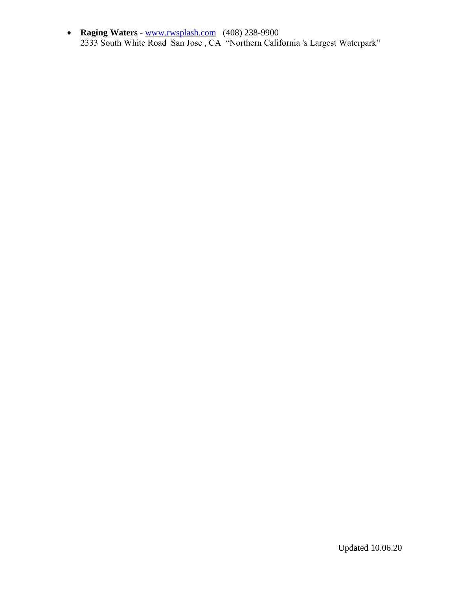**Raging Waters** - [www.rwsplash.com](http://www.rwsplash.com/) (408) 238-9900 2333 South White Road San Jose , CA "Northern California 's Largest Waterpark"